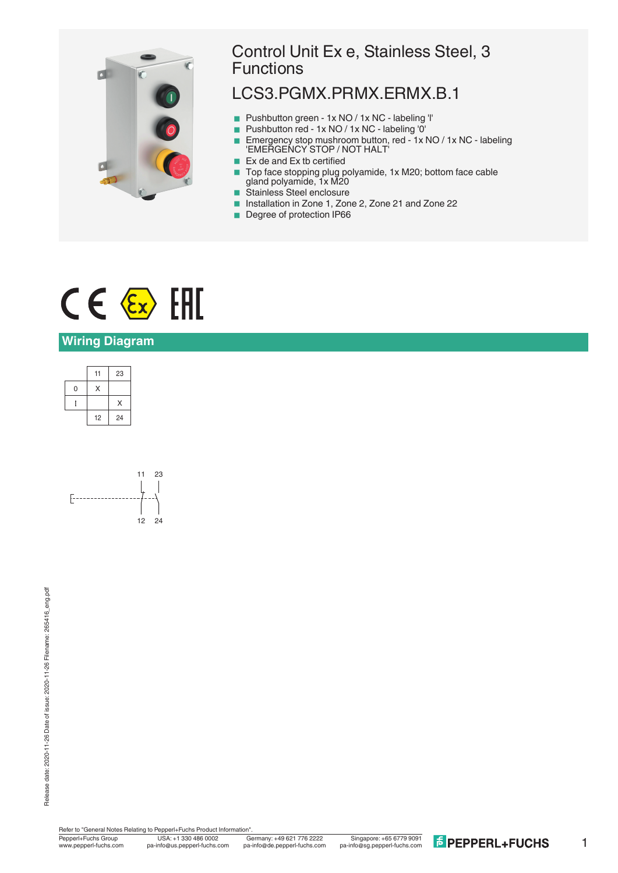

## Control Unit Ex e, Stainless Steel, 3 Functions

## LCS3.PGMX.PRMX.ERMX.B.1

- Pushbutton green 1x NO / 1x NC labeling 'l'
- Pushbutton red 1x NO / 1x NC labeling '0'
- Emergency stop mushroom button, red 1x NO / 1x NC labeling 'EMERGENCY STOP / NOT HALT'
- $\blacksquare$  Ex de and Ex tb certified
- Top face stopping plug polyamide, 1x M20; bottom face cable gland polyamide, 1x M20
- Stainless Steel enclosure
- Installation in Zone 1, Zone 2, Zone 21 and Zone 22
- Degree of protection IP66

# $C \in \langle \overline{\epsilon_x} \rangle$  [HI

#### **Wiring Diagram**

|   | 11 | 23 |
|---|----|----|
| 0 | Χ  |    |
|   |    | X  |
|   | 12 | 24 |



Refer to "General Notes Relating to Pepperl+Fuchs Product Information"

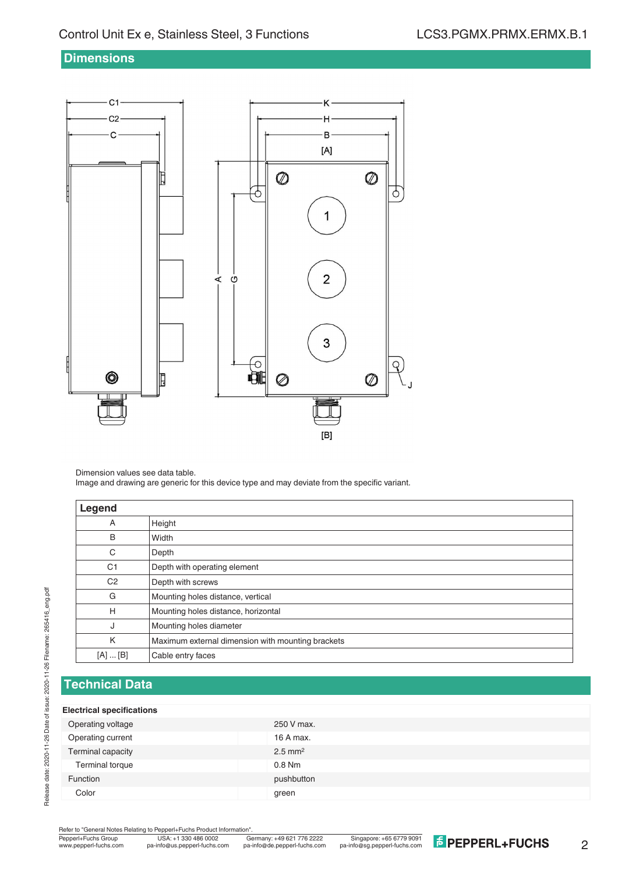#### **Dimensions**



Dimension values see data table.

Image and drawing are generic for this device type and may deviate from the specific variant.

| Legend         |                                                   |
|----------------|---------------------------------------------------|
| A              | Height                                            |
| B              | Width                                             |
| С              | Depth                                             |
| C <sub>1</sub> | Depth with operating element                      |
| C <sub>2</sub> | Depth with screws                                 |
| G              | Mounting holes distance, vertical                 |
| H              | Mounting holes distance, horizontal               |
| J              | Mounting holes diameter                           |
| K              | Maximum external dimension with mounting brackets |
| [A]  [B]       | Cable entry faces                                 |

### **Technical Data**

#### **Electrical specifications**

| .                 |                       |
|-------------------|-----------------------|
| Operating voltage | 250 V max.            |
| Operating current | 16 A max.             |
| Terminal capacity | $2.5$ mm <sup>2</sup> |
| Terminal torque   | $0.8$ Nm              |
| Function          | pushbutton            |
| Color             | green                 |
|                   |                       |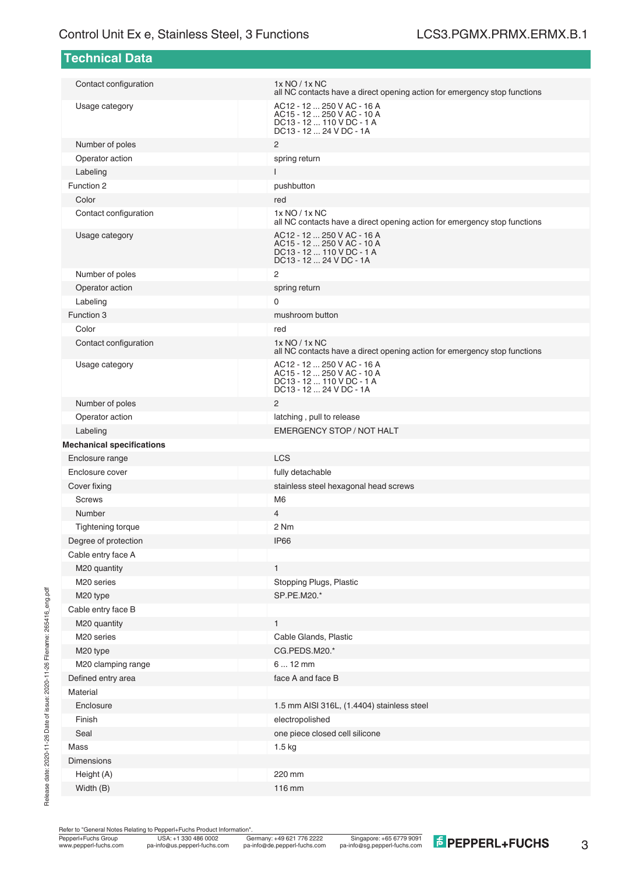| Technical Data                   |                                                                                                                  |
|----------------------------------|------------------------------------------------------------------------------------------------------------------|
|                                  |                                                                                                                  |
| Contact configuration            | 1x NO / 1x NC<br>all NC contacts have a direct opening action for emergency stop functions                       |
| Usage category                   | AC12 - 12  250 V AC - 16 A<br>AC15 - 12  250 V AC - 10 A<br>DC13 - 12  110 V DC - 1 A<br>DC13 - 12  24 V DC - 1A |
| Number of poles                  | 2                                                                                                                |
| Operator action                  | spring return                                                                                                    |
| Labeling                         | $\mathbf{I}$                                                                                                     |
| Function 2                       | pushbutton                                                                                                       |
| Color                            | red                                                                                                              |
| Contact configuration            | 1x NO / 1x NC<br>all NC contacts have a direct opening action for emergency stop functions                       |
| Usage category                   | AC12 - 12  250 V AC - 16 A<br>AC15 - 12  250 V AC - 10 A<br>DC13 - 12  110 V DC - 1 A<br>DC13 - 12  24 V DC - 1A |
| Number of poles                  | 2                                                                                                                |
| Operator action                  | spring return                                                                                                    |
| Labeling                         | $\mathbf 0$                                                                                                      |
| Function 3                       | mushroom button                                                                                                  |
| Color                            | red                                                                                                              |
| Contact configuration            | 1x NO / 1x NC<br>all NC contacts have a direct opening action for emergency stop functions                       |
| Usage category                   | AC12 - 12  250 V AC - 16 A<br>AC15 - 12  250 V AC - 10 A<br>DC13 - 12  110 V DC - 1 A<br>DC13 - 12  24 V DC - 1A |
| Number of poles                  | 2                                                                                                                |
| Operator action                  | latching, pull to release                                                                                        |
| Labeling                         | <b>EMERGENCY STOP / NOT HALT</b>                                                                                 |
| <b>Mechanical specifications</b> |                                                                                                                  |
| Enclosure range                  | <b>LCS</b>                                                                                                       |
| Enclosure cover                  | fully detachable                                                                                                 |
| Cover fixing                     | stainless steel hexagonal head screws                                                                            |
| <b>Screws</b>                    | M <sub>6</sub>                                                                                                   |
| Number                           | $\overline{4}$                                                                                                   |
| <b>Tightening torque</b>         | 2 Nm                                                                                                             |
| Degree of protection             | IP <sub>66</sub>                                                                                                 |
| Cable entry face A               |                                                                                                                  |
| M20 quantity                     | $\mathbf{1}$                                                                                                     |
| M20 series                       | Stopping Plugs, Plastic                                                                                          |
| M20 type                         | SP.PE.M20.*                                                                                                      |
| Cable entry face B               |                                                                                                                  |
| M20 quantity                     | $\mathbf{1}$                                                                                                     |
| M20 series                       | Cable Glands, Plastic                                                                                            |
| M20 type                         | CG.PEDS.M20.*                                                                                                    |
| M20 clamping range               | $612$ mm                                                                                                         |
| Defined entry area               | face A and face B                                                                                                |
| Material                         |                                                                                                                  |
| Enclosure                        | 1.5 mm AISI 316L, (1.4404) stainless steel                                                                       |
| Finish                           | electropolished                                                                                                  |
| Seal                             | one piece closed cell silicone                                                                                   |
| Mass                             | $1.5$ kg                                                                                                         |
| <b>Dimensions</b>                |                                                                                                                  |
| Height (A)                       | 220 mm                                                                                                           |
| Width (B)                        | 116 mm                                                                                                           |

Refer to "General Notes Relating to Pepperl+Fuchs Product Information".